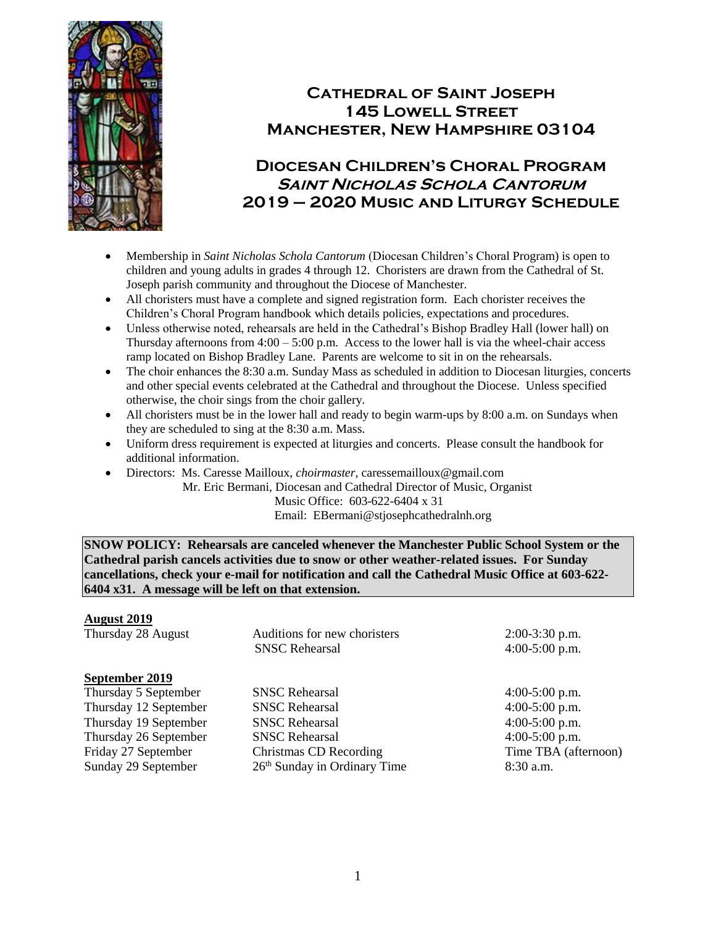

# **Cathedral of Saint Joseph 145 Lowell Street Manchester, New Hampshire 03104**

# **Diocesan Children's Choral Program Saint Nicholas Schola Cantorum 2019 – 2020 Music and Liturgy Schedule**

- Membership in *Saint Nicholas Schola Cantorum* (Diocesan Children's Choral Program) is open to children and young adults in grades 4 through 12. Choristers are drawn from the Cathedral of St. Joseph parish community and throughout the Diocese of Manchester.
- All choristers must have a complete and signed registration form. Each chorister receives the Children's Choral Program handbook which details policies, expectations and procedures.
- Unless otherwise noted, rehearsals are held in the Cathedral's Bishop Bradley Hall (lower hall) on Thursday afternoons from  $4:00 - 5:00$  p.m. Access to the lower hall is via the wheel-chair access ramp located on Bishop Bradley Lane. Parents are welcome to sit in on the rehearsals.
- The choir enhances the 8:30 a.m. Sunday Mass as scheduled in addition to Diocesan liturgies, concerts and other special events celebrated at the Cathedral and throughout the Diocese. Unless specified otherwise, the choir sings from the choir gallery.
- All choristers must be in the lower hall and ready to begin warm-ups by 8:00 a.m. on Sundays when they are scheduled to sing at the 8:30 a.m. Mass.
- Uniform dress requirement is expected at liturgies and concerts. Please consult the handbook for additional information.
- Directors: Ms. Caresse Mailloux, *choirmaster*, caressemailloux@gmail.com

 Mr. Eric Bermani, Diocesan and Cathedral Director of Music, Organist Music Office: 603-622-6404 x 31 Email: EBermani@stjosephcathedralnh.org

**SNOW POLICY: Rehearsals are canceled whenever the Manchester Public School System or the Cathedral parish cancels activities due to snow or other weather-related issues. For Sunday cancellations, check your e-mail for notification and call the Cathedral Music Office at 603-622- 6404 x31. A message will be left on that extension.**

## **August 2019**

| Thursday 28 August    | Auditions for new choristers             | $2:00-3:30$ p.m.     |
|-----------------------|------------------------------------------|----------------------|
|                       | <b>SNSC Rehearsal</b>                    | $4:00-5:00$ p.m.     |
| September 2019        |                                          |                      |
| Thursday 5 September  | <b>SNSC Rehearsal</b>                    | $4:00-5:00$ p.m.     |
| Thursday 12 September | <b>SNSC Rehearsal</b>                    | $4:00-5:00$ p.m.     |
| Thursday 19 September | <b>SNSC Rehearsal</b>                    | $4:00-5:00$ p.m.     |
| Thursday 26 September | <b>SNSC Rehearsal</b>                    | $4:00-5:00$ p.m.     |
| Friday 27 September   | Christmas CD Recording                   | Time TBA (afternoon) |
| Sunday 29 September   | 26 <sup>th</sup> Sunday in Ordinary Time | $8:30$ a.m.          |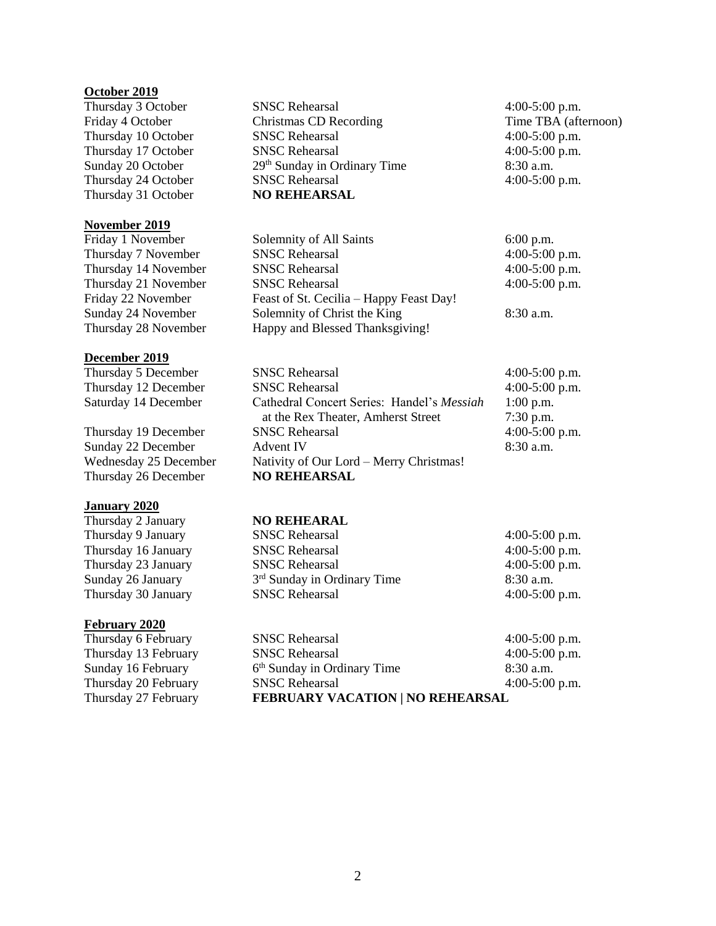#### **October 2019**

Thursday 31 October **NO REHEARSAL**

### **November 2019**

### **December 2019**

### **January 2020**

Thursday 2 January **NO REHEARAL** Thursday 9 January Thursday 16 January Thursday 23 January Sunday 26 January Thursday 30 January

#### **February 2020**

Thursday 6 February S Thursday 13 February S Sunday 16 February 6<br>Thursday 20 February 6 Thursday 20 February Thursday 27 February **F** 

Thursday 3 October SNSC Rehearsal 4:00-5:00 p.m. Friday 4 October Christmas CD Recording Time TBA (afternoon) Thursday 10 October SNSC Rehearsal 4:00-5:00 p.m. Thursday 17 October SNSC Rehearsal 4:00-5:00 p.m. Sunday 20 October 29<sup>th</sup> Sunday in Ordinary Time 8:30 a.m. Thursday 24 October SNSC Rehearsal 4:00-5:00 p.m.

Friday 1 November Solemnity of All Saints 6:00 p.m. Thursday 7 November SNSC Rehearsal 4:00-5:00 p.m. Thursday 14 November SNSC Rehearsal 4:00-5:00 p.m. Thursday 21 November SNSC Rehearsal 4:00-5:00 p.m. Friday 22 November Feast of St. Cecilia – Happy Feast Day! Sunday 24 November Solemnity of Christ the King 8:30 a.m. Thursday 28 November Happy and Blessed Thanksgiving!

| Thursday 5 December   | <b>SNSC Rehearsal</b>                      | $4:00-5:00$ p.m. |
|-----------------------|--------------------------------------------|------------------|
| Thursday 12 December  | <b>SNSC Rehearsal</b>                      | 4:00-5:00 p.m.   |
| Saturday 14 December  | Cathedral Concert Series: Handel's Messiah | $1:00$ p.m.      |
|                       | at the Rex Theater, Amherst Street         | $7:30$ p.m.      |
| Thursday 19 December  | <b>SNSC Rehearsal</b>                      | $4:00-5:00$ p.m. |
| Sunday 22 December    | <b>Advent IV</b>                           | $8:30$ a.m.      |
| Wednesday 25 December | Nativity of Our Lord - Merry Christmas!    |                  |
| Thursday 26 December  | <b>NO REHEARSAL</b>                        |                  |

| SNSC Rehearsal                          | $4:00-5:00$ p.m. |
|-----------------------------------------|------------------|
| SNSC Rehearsal                          | 4:00-5:00 p.m.   |
| SNSC Rehearsal                          | $4:00-5:00$ p.m. |
| 3 <sup>rd</sup> Sunday in Ordinary Time | $8:30$ a.m.      |
| SNSC Rehearsal                          | 4:00-5:00 p.m.   |
|                                         |                  |

| SNSC Rehearsal                         | $4:00-5:00$ p.m |
|----------------------------------------|-----------------|
| SNSC Rehearsal                         | $4:00-5:00$ p.m |
| <sup>5th</sup> Sunday in Ordinary Time | $8:30$ a.m.     |
| SNSC Rehearsal                         | $4:00-5:00$ p.m |
| FEBRUARY VACATION   NO REHEARSAL       |                 |